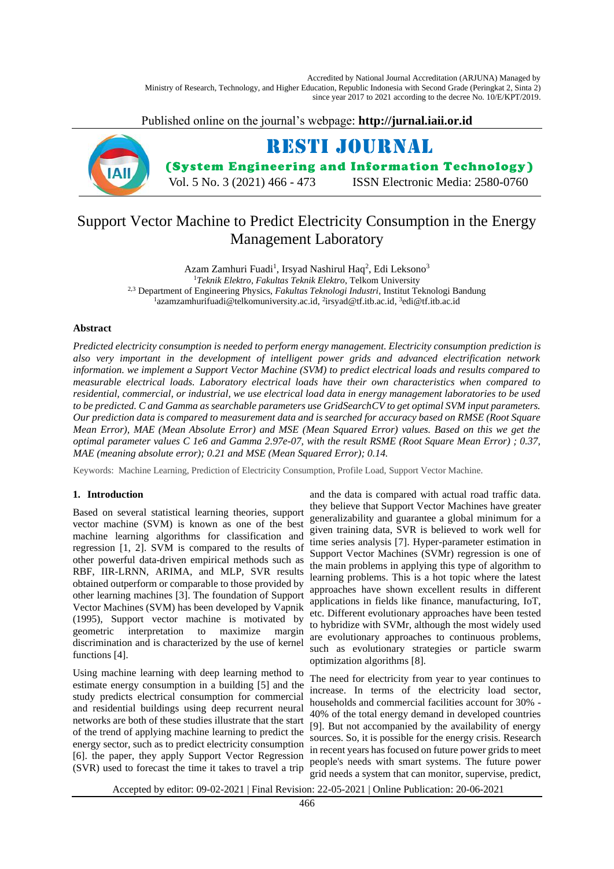Accredited by National Journal Accreditation (ARJUNA) Managed by Ministry of Research, Technology, and Higher Education, Republic Indonesia with Second Grade (Peringkat 2, Sinta 2) since year 2017 to 2021 according to the decree No. 10/E/KPT/2019.

Published online on the journal's webpage: **http://jurnal.iaii.or.id**



# Support Vector Machine to Predict Electricity Consumption in the Energy Management Laboratory

Azam Zamhuri Fuadi<sup>1</sup>, Irsyad Nashirul Haq<sup>2</sup>, Edi Leksono<sup>3</sup> <sup>1</sup>*Teknik Elektro*, *Fakultas Teknik Elektro*, Telkom University 2,3 Department of Engineering Physics, *Fakultas Teknologi Industri*, Institut Teknologi Bandung <sup>1</sup> azamzamhurifuadi@telkomuniversity.ac.id, <sup>2</sup>irsyad@tf.itb.ac.id, <sup>3</sup>edi@tf.itb.ac.id

# **Abstract**

*Predicted electricity consumption is needed to perform energy management. Electricity consumption prediction is also very important in the development of intelligent power grids and advanced electrification network information. we implement a Support Vector Machine (SVM) to predict electrical loads and results compared to measurable electrical loads. Laboratory electrical loads have their own characteristics when compared to residential, commercial, or industrial, we use electrical load data in energy management laboratories to be used to be predicted. C and Gamma as searchable parameters use GridSearchCV to get optimal SVM input parameters. Our prediction data is compared to measurement data and is searched for accuracy based on RMSE (Root Square Mean Error), MAE (Mean Absolute Error) and MSE (Mean Squared Error) values. Based on this we get the optimal parameter values C 1e6 and Gamma 2.97e-07, with the result RSME (Root Square Mean Error) ; 0.37, MAE (meaning absolute error); 0.21 and MSE (Mean Squared Error); 0.14.*

Keywords: Machine Learning, Prediction of Electricity Consumption, Profile Load, Support Vector Machine.

# **1. Introduction**

Based on several statistical learning theories, support vector machine (SVM) is known as one of the best machine learning algorithms for classification and regression [1, 2]. SVM is compared to the results of other powerful data-driven empirical methods such as RBF, IIR-LRNN, ARIMA, and MLP, SVR results obtained outperform or comparable to those provided by other learning machines [3]. The foundation of Support Vector Machines (SVM) has been developed by Vapnik (1995), Support vector machine is motivated by geometric interpretation to maximize margin discrimination and is characterized by the use of kernel functions [4].

Using machine learning with deep learning method to estimate energy consumption in a building [5] and the study predicts electrical consumption for commercial and residential buildings using deep recurrent neural networks are both of these studies illustrate that the start of the trend of applying machine learning to predict the energy sector, such as to predict electricity consumption [6]. the paper, they apply Support Vector Regression (SVR) used to forecast the time it takes to travel a trip

and the data is compared with actual road traffic data. they believe that Support Vector Machines have greater generalizability and guarantee a global minimum for a given training data, SVR is believed to work well for time series analysis [7]. Hyper-parameter estimation in Support Vector Machines (SVMr) regression is one of the main problems in applying this type of algorithm to learning problems. This is a hot topic where the latest approaches have shown excellent results in different applications in fields like finance, manufacturing, IoT, etc. Different evolutionary approaches have been tested to hybridize with SVMr, although the most widely used are evolutionary approaches to continuous problems, such as evolutionary strategies or particle swarm optimization algorithms [8].

The need for electricity from year to year continues to increase. In terms of the electricity load sector, households and commercial facilities account for 30% - 40% of the total energy demand in developed countries [9]. But not accompanied by the availability of energy sources. So, it is possible for the energy crisis. Research in recent years has focused on future power grids to meet people's needs with smart systems. The future power grid needs a system that can monitor, supervise, predict,

Accepted by editor: 09-02-2021 | Final Revision: 22-05-2021 | Online Publication: 20-06-2021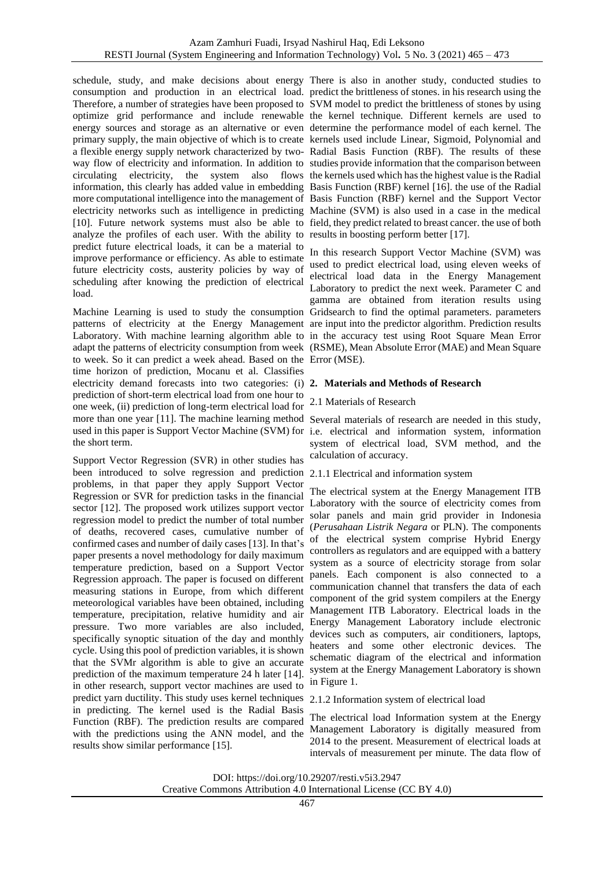schedule, study, and make decisions about energy There is also in another study, conducted studies to consumption and production in an electrical load. predict the brittleness of stones. in his research using the Therefore, a number of strategies have been proposed to SVM model to predict the brittleness of stones by using optimize grid performance and include renewable the kernel technique. Different kernels are used to energy sources and storage as an alternative or even determine the performance model of each kernel. The primary supply, the main objective of which is to create kernels used include Linear, Sigmoid, Polynomial and a flexible energy supply network characterized by two-Radial Basis Function (RBF). The results of these way flow of electricity and information. In addition to studies provide information that the comparison between circulating electricity, the system also flows the kernels used which has the highest value is the Radial information, this clearly has added value in embedding Basis Function (RBF) kernel [16]. the use of the Radial more computational intelligence into the management of Basis Function (RBF) kernel and the Support Vector electricity networks such as intelligence in predicting Machine (SVM) is also used in a case in the medical [10]. Future network systems must also be able to field, they predict related to breast cancer. the use of both analyze the profiles of each user. With the ability to results in boosting perform better [17]. predict future electrical loads, it can be a material to improve performance or efficiency. As able to estimate future electricity costs, austerity policies by way of scheduling after knowing the prediction of electrical load.

Machine Learning is used to study the consumption Gridsearch to find the optimal parameters. parameters patterns of electricity at the Energy Management are input into the predictor algorithm. Prediction results Laboratory. With machine learning algorithm able to in the accuracy test using Root Square Mean Error adapt the patterns of electricity consumption from week (RSME), Mean Absolute Error (MAE) and Mean Square to week. So it can predict a week ahead. Based on the Error (MSE). time horizon of prediction, Mocanu et al. Classifies electricity demand forecasts into two categories: (i) **2. Materials and Methods of Research**  prediction of short-term electrical load from one hour to one week, (ii) prediction of long-term electrical load for more than one year [11]. The machine learning method Several materials of research are needed in this study, used in this paper is Support Vector Machine (SVM) for i.e. electrical and information system, information the short term.

Support Vector Regression (SVR) in other studies has been introduced to solve regression and prediction 2.1.1 Electrical and information system problems, in that paper they apply Support Vector Regression or SVR for prediction tasks in the financial sector [12]. The proposed work utilizes support vector regression model to predict the number of total number of deaths, recovered cases, cumulative number of confirmed cases and number of daily cases [13]. In that's paper presents a novel methodology for daily maximum temperature prediction, based on a Support Vector Regression approach. The paper is focused on different measuring stations in Europe, from which different meteorological variables have been obtained, including temperature, precipitation, relative humidity and air pressure. Two more variables are also included, specifically synoptic situation of the day and monthly cycle. Using this pool of prediction variables, it is shown that the SVMr algorithm is able to give an accurate prediction of the maximum temperature 24 h later [14]. in other research, support vector machines are used to predict yarn ductility. This study uses kernel techniques 2.1.2 Information system of electrical load in predicting. The kernel used is the Radial Basis Function (RBF). The prediction results are compared with the predictions using the ANN model, and the results show similar performance [15].

In this research Support Vector Machine (SVM) was used to predict electrical load, using eleven weeks of electrical load data in the Energy Management Laboratory to predict the next week. Parameter C and gamma are obtained from iteration results using

# 2.1 Materials of Research

system of electrical load, SVM method, and the calculation of accuracy.

The electrical system at the Energy Management ITB Laboratory with the source of electricity comes from solar panels and main grid provider in Indonesia (*Perusahaan Listrik Negara* or PLN). The components of the electrical system comprise Hybrid Energy controllers as regulators and are equipped with a battery system as a source of electricity storage from solar panels. Each component is also connected to a communication channel that transfers the data of each component of the grid system compilers at the Energy Management ITB Laboratory. Electrical loads in the Energy Management Laboratory include electronic devices such as computers, air conditioners, laptops, heaters and some other electronic devices. The schematic diagram of the electrical and information system at the Energy Management Laboratory is shown in Figure 1.

The electrical load Information system at the Energy Management Laboratory is digitally measured from 2014 to the present. Measurement of electrical loads at intervals of measurement per minute. The data flow of

DOI: https://doi.org/10.29207/resti.v5i3.2947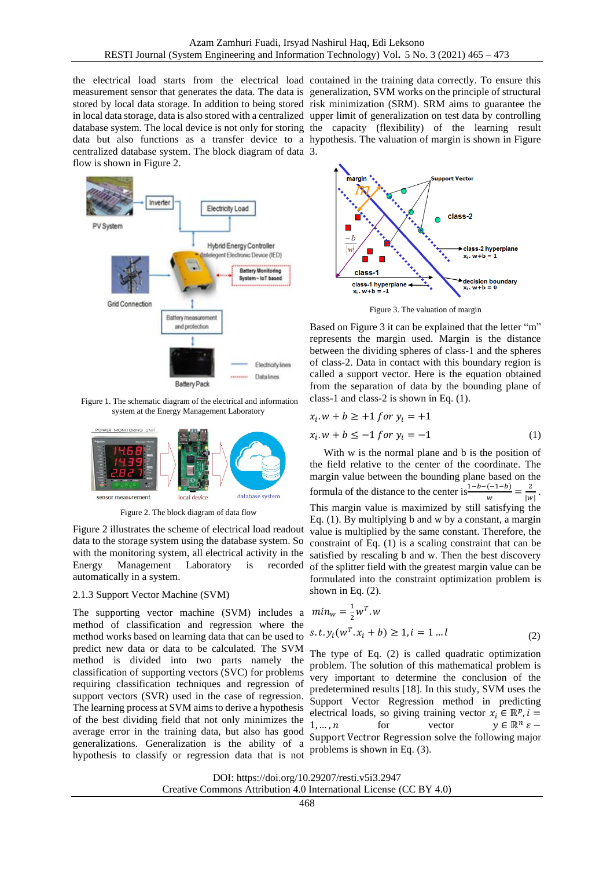the electrical load starts from the electrical load contained in the training data correctly. To ensure this measurement sensor that generates the data. The data is generalization, SVM works on the principle of structural stored by local data storage. In addition to being stored risk minimization (SRM). SRM aims to guarantee the in local data storage, data is also stored with a centralized upper limit of generalization on test data by controlling database system. The local device is not only for storing the capacity (flexibility) of the learning result data but also functions as a transfer device to a hypothesis. The valuation of margin is shown in Figure centralized database system. The block diagram of data 3. flow is shown in Figure 2.



Figure 1. The schematic diagram of the electrical and information system at the Energy Management Laboratory



Figure 2. The block diagram of data flow

Figure 2 illustrates the scheme of electrical load readout data to the storage system using the database system. So with the monitoring system, all electrical activity in the Energy Management Laboratory is recorded automatically in a system.

### 2.1.3 Support Vector Machine (SVM)

The supporting vector machine (SVM) includes a method of classification and regression where the method works based on learning data that can be used to predict new data or data to be calculated. The SVM method is divided into two parts namely the classification of supporting vectors (SVC) for problems requiring classification techniques and regression of support vectors (SVR) used in the case of regression. The learning process at SVM aims to derive a hypothesis of the best dividing field that not only minimizes the average error in the training data, but also has good generalizations. Generalization is the ability of a hypothesis to classify or regression data that is not



Figure 3. The valuation of margin

Based on Figure 3 it can be explained that the letter "m" represents the margin used. Margin is the distance between the dividing spheres of class-1 and the spheres of class-2. Data in contact with this boundary region is called a support vector. Here is the equation obtained from the separation of data by the bounding plane of class-1 and class-2 is shown in Eq. (1).

$$
x_i \cdot w + b \geq 1 \text{ for } y_i = +1
$$

$$
x_i \cdot w + b \le -1 \text{ for } y_i = -1 \tag{1}
$$

With w is the normal plane and b is the position of the field relative to the center of the coordinate. The margin value between the bounding plane based on the formula of the distance to the center is  $\frac{1-b-(-1-b)}{m}$  $\frac{(-1-b)}{w} = \frac{2}{|w|}$  $\frac{2}{|w|}$ . This margin value is maximized by still satisfying the Eq. (1). By multiplying b and w by a constant, a margin value is multiplied by the same constant. Therefore, the constraint of Eq. (1) is a scaling constraint that can be satisfied by rescaling b and w. Then the best discovery of the splitter field with the greatest margin value can be formulated into the constraint optimization problem is shown in Eq. (2).

$$
min_{w} = \frac{1}{2}w^{T}.w
$$
  
s.t.  $y_i(w^{T}.x_i + b) \ge 1, i = 1...l$  (2)

The type of Eq. (2) is called quadratic optimization problem. The solution of this mathematical problem is very important to determine the conclusion of the predetermined results [18]. In this study, SVM uses the Support Vector Regression method in predicting electrical loads, so giving training vector  $x_i \in \mathbb{R}^p$ ,  $i =$  $1, \ldots, n$  for vector  $n \varepsilon$  – Support Vectror Regression solve the following major problems is shown in Eq. (3).

DOI: https://doi.org/10.29207/resti.v5i3.2947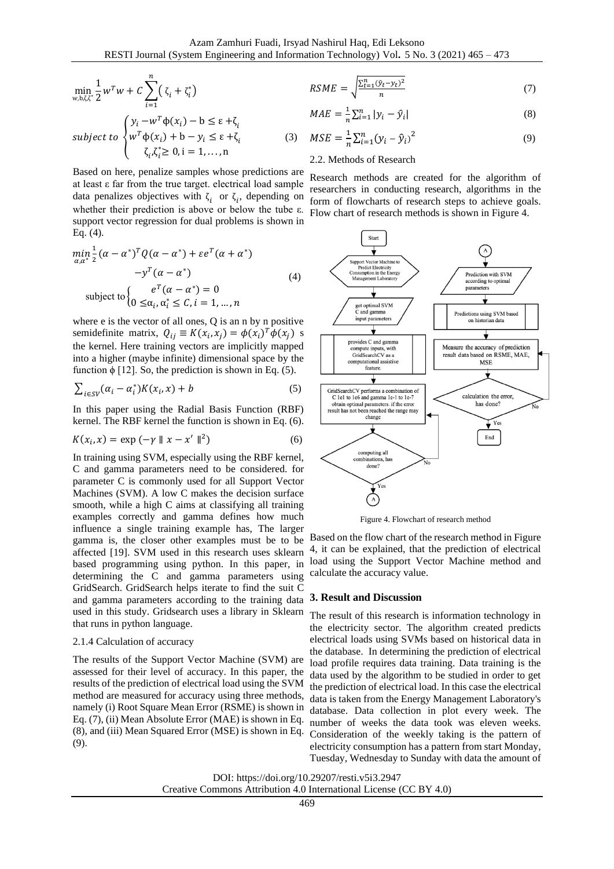$$
\min_{w, b, \zeta, \zeta^*} \frac{1}{2} w^T w + C \sum_{i=1}^n (\zeta_i + \zeta_i^*)
$$
\n
$$
RSME = \sqrt{\frac{\sum_{t=1}^n (\hat{y}_t - y_t)^2}{n}}
$$
\n(7)

$$
MAE = \frac{1}{n} \sum_{i=1}^{n} |y_i - \hat{y}_i|
$$
 (8)

subject to 
$$
\begin{cases} y_i - w^T \phi(x_i) - b \le \varepsilon + \zeta_i \\ w^T \phi(x_i) + b - y_i \le \varepsilon + \zeta_i \\ \zeta_i \zeta_i^* \ge 0, i = 1, ..., n \end{cases}
$$
 (3)

Based on here, penalize samples whose predictions are at least ε far from the true target. electrical load sample data penalizes objectives with  $\zeta_i$  or  $\zeta_i$ , depending on whether their prediction is above or below the tube ε. support vector regression for dual problems is shown in Eq. (4).

$$
\min_{\alpha,\alpha^*} \frac{1}{2} (\alpha - \alpha^*)^T Q (\alpha - \alpha^*) + \varepsilon e^T (\alpha + \alpha^*)
$$
  

$$
-y^T (\alpha - \alpha^*)
$$
  
subject to 
$$
\begin{cases} e^T (\alpha - \alpha^*) = 0 \\ 0 \leq \alpha_i, \alpha_i^* \leq C, i = 1, ..., n \end{cases}
$$
 (4)

where e is the vector of all ones, Q is an n by n positive semidefinite matrix,  $Q_{ij} \equiv K(x_i, x_j) = \phi(x_i)^T \phi(x_j)$  s the kernel. Here training vectors are implicitly mapped into a higher (maybe infinite) dimensional space by the function  $\phi$  [12]. So, the prediction is shown in Eq. (5).

$$
\sum_{i \in SV} (\alpha_i - \alpha_i^*) K(x_i, x) + b \tag{5}
$$

In this paper using the Radial Basis Function (RBF) kernel. The RBF kernel the function is shown in Eq. (6).

$$
K(xi, x) = \exp(-\gamma \| x - x' \|^2)
$$
 (6)

In training using SVM, especially using the RBF kernel, C and gamma parameters need to be considered. for parameter C is commonly used for all Support Vector Machines (SVM). A low C makes the decision surface smooth, while a high C aims at classifying all training examples correctly and gamma defines how much influence a single training example has, The larger gamma is, the closer other examples must be to be affected [19]. SVM used in this research uses sklearn based programming using python. In this paper, in determining the C and gamma parameters using GridSearch. GridSearch helps iterate to find the suit C and gamma parameters according to the training data used in this study. Gridsearch uses a library in Sklearn that runs in python language.

### 2.1.4 Calculation of accuracy

The results of the Support Vector Machine (SVM) are assessed for their level of accuracy. In this paper, the results of the prediction of electrical load using the SVM method are measured for accuracy using three methods, namely (i) Root Square Mean Error (RSME) is shown in Eq. (7), (ii) Mean Absolute Error (MAE) is shown in Eq. (8), and (iii) Mean Squared Error (MSE) is shown in Eq. (9).

$$
MAE = \frac{1}{n} \sum_{i=1}^{n} |y_i - \hat{y}_i|
$$
\n
$$
MSE = \frac{1}{n} \sum_{i=1}^{n} (y_i - \hat{y}_i)^2
$$
\n(9)

$$
n \mathcal{L} = 10 \mathcal{L} \mathcal{L}
$$

# 2.2. Methods of Research

Research methods are created for the algorithm of researchers in conducting research, algorithms in the form of flowcharts of research steps to achieve goals. Flow chart of research methods is shown in Figure 4.



Figure 4. Flowchart of research method

Based on the flow chart of the research method in Figure 4, it can be explained, that the prediction of electrical load using the Support Vector Machine method and calculate the accuracy value.

# **3. Result and Discussion**

The result of this research is information technology in the electricity sector. The algorithm created predicts electrical loads using SVMs based on historical data in the database. In determining the prediction of electrical load profile requires data training. Data training is the data used by the algorithm to be studied in order to get the prediction of electrical load. In this case the electrical data is taken from the Energy Management Laboratory's database. Data collection in plot every week. The number of weeks the data took was eleven weeks. Consideration of the weekly taking is the pattern of electricity consumption has a pattern from start Monday, Tuesday, Wednesday to Sunday with data the amount of

DOI: https://doi.org/10.29207/resti.v5i3.2947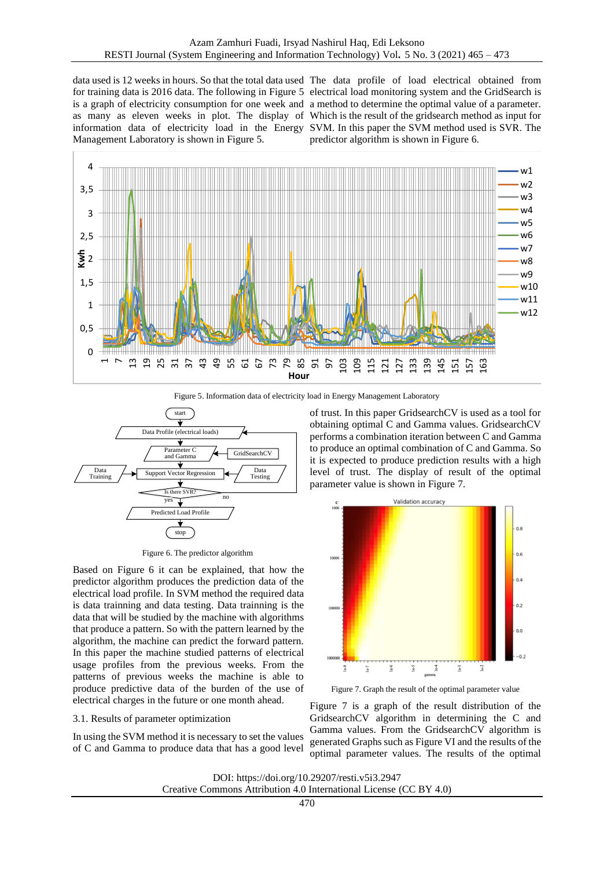data used is 12 weeks in hours. So that the total data used The data profile of load electrical obtained from for training data is 2016 data. The following in Figure 5 electrical load monitoring system and the GridSearch is is a graph of electricity consumption for one week and a method to determine the optimal value of a parameter. as many as eleven weeks in plot. The display of Which is the result of the gridsearch method as input for information data of electricity load in the Energy SVM. In this paper the SVM method used is SVR. The Management Laboratory is shown in Figure 5.

predictor algorithm is shown in Figure 6.



Figure 5. Information data of electricity load in Energy Management Laboratory



Figure 6. The predictor algorithm

Based on Figure 6 it can be explained, that how the predictor algorithm produces the prediction data of the electrical load profile. In SVM method the required data is data trainning and data testing. Data trainning is the data that will be studied by the machine with algorithms that produce a pattern. So with the pattern learned by the algorithm, the machine can predict the forward pattern. In this paper the machine studied patterns of electrical usage profiles from the previous weeks. From the patterns of previous weeks the machine is able to produce predictive data of the burden of the use of electrical charges in the future or one month ahead.

# 3.1. Results of parameter optimization

In using the SVM method it is necessary to set the values of C and Gamma to produce data that has a good level

of trust. In this paper GridsearchCV is used as a tool for obtaining optimal C and Gamma values. GridsearchCV performs a combination iteration between C and Gamma to produce an optimal combination of C and Gamma. So it is expected to produce prediction results with a high level of trust. The display of result of the optimal parameter value is shown in Figure 7.



Figure 7. Graph the result of the optimal parameter value

Figure 7 is a graph of the result distribution of the GridsearchCV algorithm in determining the C and Gamma values. From the GridsearchCV algorithm is generated Graphs such as Figure VI and the results of the optimal parameter values. The results of the optimal

DOI: https://doi.org/10.29207/resti.v5i3.2947 Creative Commons Attribution 4.0 International License (CC BY 4.0)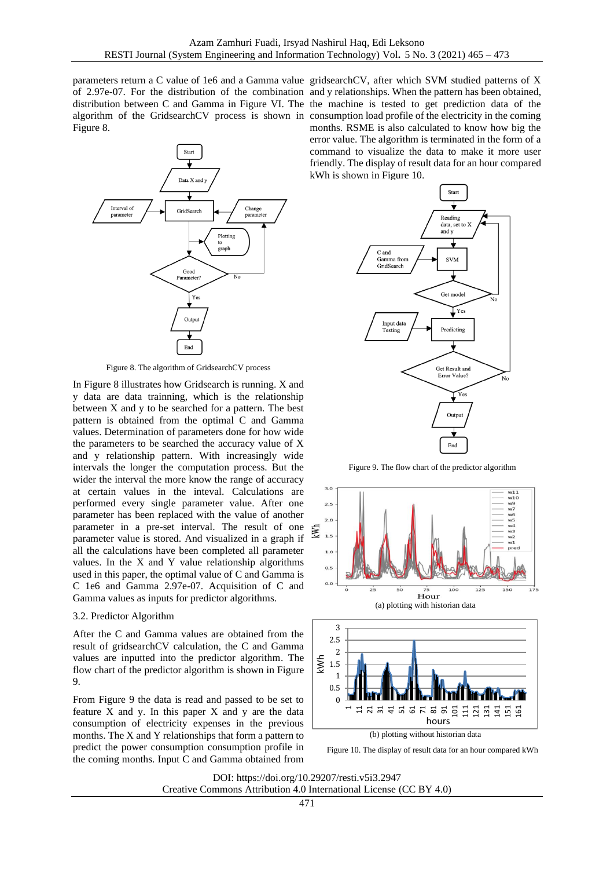Figure 8.



Figure 8. The algorithm of GridsearchCV process

In Figure 8 illustrates how Gridsearch is running. X and y data are data trainning, which is the relationship between X and y to be searched for a pattern. The best pattern is obtained from the optimal C and Gamma values. Determination of parameters done for how wide the parameters to be searched the accuracy value of X and y relationship pattern. With increasingly wide intervals the longer the computation process. But the wider the interval the more know the range of accuracy at certain values in the inteval. Calculations are performed every single parameter value. After one parameter has been replaced with the value of another parameter in a pre-set interval. The result of one parameter value is stored. And visualized in a graph if all the calculations have been completed all parameter values. In the X and Y value relationship algorithms used in this paper, the optimal value of C and Gamma is C 1e6 and Gamma 2.97e-07. Acquisition of C and Gamma values as inputs for predictor algorithms.

# 3.2. Predictor Algorithm

After the C and Gamma values are obtained from the result of gridsearchCV calculation, the C and Gamma values are inputted into the predictor algorithm. The flow chart of the predictor algorithm is shown in Figure 9.

From Figure 9 the data is read and passed to be set to feature X and y. In this paper X and y are the data consumption of electricity expenses in the previous months. The X and Y relationships that form a pattern to predict the power consumption consumption profile in the coming months. Input C and Gamma obtained from

parameters return a C value of 1e6 and a Gamma value gridsearchCV, after which SVM studied patterns of X of 2.97e-07. For the distribution of the combination and y relationships. When the pattern has been obtained, distribution between C and Gamma in Figure VI. The the machine is tested to get prediction data of the algorithm of the GridsearchCV process is shown in consumption load profile of the electricity in the coming months. RSME is also calculated to know how big the error value. The algorithm is terminated in the form of a command to visualize the data to make it more user friendly. The display of result data for an hour compared kWh is shown in Figure 10.



Figure 9. The flow chart of the predictor algorithm





hours

(b) plotting without historian data

DOI: https://doi.org/10.29207/resti.v5i3.2947 Creative Commons Attribution 4.0 International License (CC BY 4.0)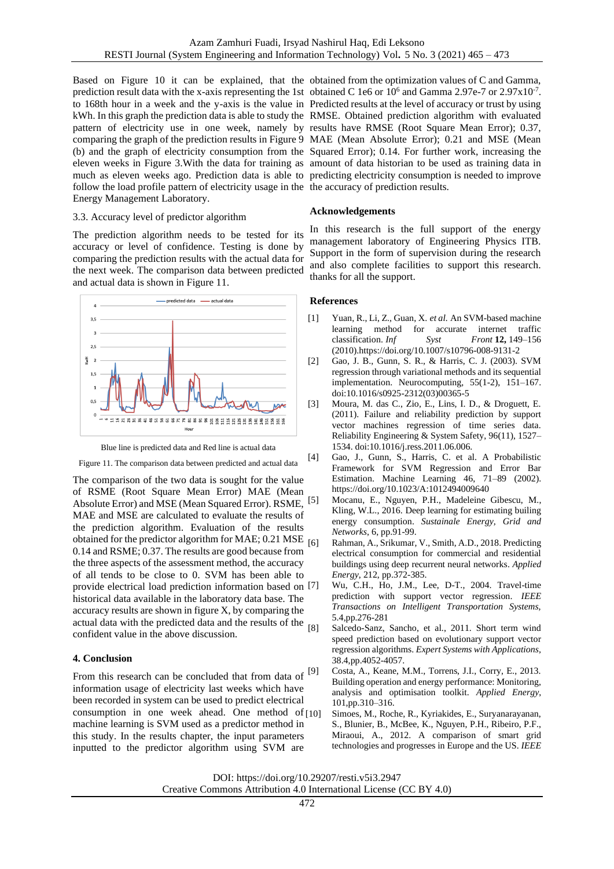Based on Figure 10 it can be explained, that the obtained from the optimization values of C and Gamma, prediction result data with the x-axis representing the 1st obtained C 1e6 or  $10^6$  and Gamma 2.97e-7 or 2.97x10<sup>-7</sup>. to 168th hour in a week and the y-axis is the value in Predicted results at the level of accuracy or trust by using kWh. In this graph the prediction data is able to study the RMSE. Obtained prediction algorithm with evaluated pattern of electricity use in one week, namely by results have RMSE (Root Square Mean Error); 0.37, comparing the graph of the prediction results in Figure 9 MAE (Mean Absolute Error); 0.21 and MSE (Mean (b) and the graph of electricity consumption from the Squared Error); 0.14. For further work, increasing the eleven weeks in Figure 3.With the data for training as amount of data historian to be used as training data in much as eleven weeks ago. Prediction data is able to predicting electricity consumption is needed to improve follow the load profile pattern of electricity usage in the the accuracy of prediction results. Energy Management Laboratory.

## 3.3. Accuracy level of predictor algorithm

The prediction algorithm needs to be tested for its accuracy or level of confidence. Testing is done by comparing the prediction results with the actual data for the next week. The comparison data between predicted and actual data is shown in Figure 11.



Blue line is predicted data and Red line is actual data Figure 11. The comparison data between predicted and actual data

The comparison of the two data is sought for the value of RSME (Root Square Mean Error) MAE (Mean Absolute Error) and MSE (Mean Squared Error). RSME, MAE and MSE are calculated to evaluate the results of the prediction algorithm. Evaluation of the results obtained for the predictor algorithm for MAE;  $0.21$  MSE  $_{[6]}$ 0.14 and RSME; 0.37. The results are good because from the three aspects of the assessment method, the accuracy of all tends to be close to 0. SVM has been able to provide electrical load prediction information based on historical data available in the laboratory data base. The accuracy results are shown in figure X, by comparing the actual data with the predicted data and the results of the  $\frac{181}{681}$ confident value in the above discussion.

# **4. Conclusion**

From this research can be concluded that from data of information usage of electricity last weeks which have been recorded in system can be used to predict electrical consumption in one week ahead. One method of machine learning is SVM used as a predictor method in this study. In the results chapter, the input parameters inputted to the predictor algorithm using SVM are

# **Acknowledgements**

In this research is the full support of the energy management laboratory of Engineering Physics ITB. Support in the form of supervision during the research and also complete facilities to support this research. thanks for all the support.

# **References**

- [1] Yuan, R., Li, Z., Guan, X. *et al.* An SVM-based machine learning method for accurate internet traffic classification. *Inf Syst Front* **12,** 149–156 (2010[\).https://doi.org/10.1007/s10796-008-9131-2](https://doi.org/10.1007/s10796-008-9131-2)
- [2] Gao, J. B., Gunn, S. R., & Harris, C. J. (2003). SVM regression through variational methods and its sequential implementation. Neurocomputing, 55(1-2), 151–167. doi:10.1016/s0925-2312(03)00365-5
- [3] Moura, M. das C., Zio, E., Lins, I. D., & Droguett, E. (2011). Failure and reliability prediction by support vector machines regression of time series data. Reliability Engineering & System Safety, 96(11), 1527– 1534. doi:10.1016/j.ress.2011.06.006.
- [4] Gao, J., Gunn, S., Harris, C. et al. A Probabilistic Framework for SVM Regression and Error Bar Estimation. Machine Learning 46, 71–89 (2002). <https://doi.org/10.1023/A:1012494009640>
	- [5] Mocanu, E., Nguyen, P.H., Madeleine Gibescu, M., Kling, W.L., 2016. Deep learning for estimating builing energy consumption. *Sustainale Energy, Grid and Networks*, 6, pp.91-99.
	- Rahman, A., Srikumar, V., Smith, A.D., 2018. Predicting electrical consumption for commercial and residential buildings using deep recurrent neural networks. *Applied Energy*, 212, pp.372-385.
	- Wu, C.H., Ho, J.M., Lee, D-T., 2004. Travel-time prediction with support vector regression. *IEEE Transactions on Intelligent Transportation Systems,* 5.4,pp.276-281
	- Salcedo-Sanz, Sancho, et al., 2011. Short term wind speed prediction based on evolutionary support vector regression algorithms. *Expert Systems with Applications,* 38.4,pp.4052-4057.
	- Costa, A., Keane, M.M., Torrens, J.I., Corry, E., 2013. Building operation and energy performance: Monitoring, analysis and optimisation toolkit. *Applied Energy*, 101,pp.310–316.
		- Simoes, M., Roche, R., Kyriakides, E., Suryanarayanan, S., Blunier, B., McBee, K., Nguyen, P.H., Ribeiro, P.F., Miraoui, A., 2012. A comparison of smart grid technologies and progresses in Europe and the US. *IEEE*

DOI: https://doi.org/10.29207/resti.v5i3.2947